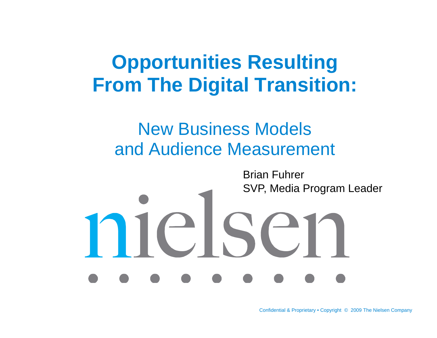# **Opportunities Resulting From The Digital Transition:**

#### New Business Models and Audience Measurement

Brian FuhrerSVP, Media Program Leader

else

Confidential & Proprietary • Copyright © 2009 The Nielsen Company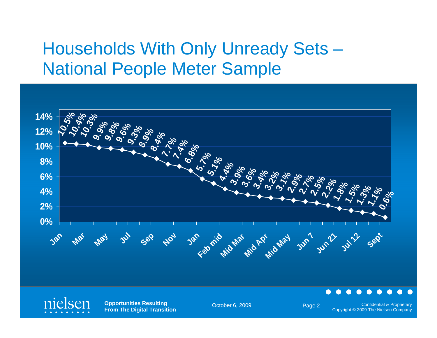#### Households With Only Unready Sets – National People Meter Sample



Copyright © 2009 The Nielsen Company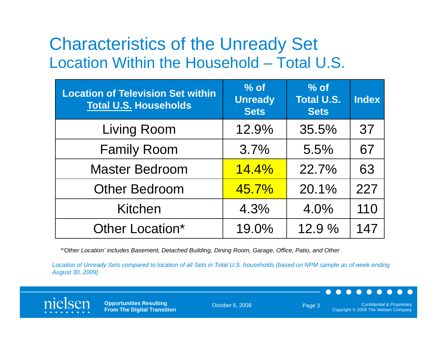#### Characteristics of the Unready Set Location Within the Household - Total U.S – Total U.S.

| <b>Location of Television Set within</b><br><b>Total U.S. Households</b> | $%$ of<br><b>Unready</b><br><b>Sets</b> | $%$ of<br><b>Total U.S.</b><br><b>Sets</b> | <b>Index</b> |
|--------------------------------------------------------------------------|-----------------------------------------|--------------------------------------------|--------------|
| <b>Living Room</b>                                                       | 12.9%                                   | 35.5%                                      | 37           |
| <b>Family Room</b>                                                       | 3.7%                                    | 5.5%                                       | 67           |
| <b>Master Bedroom</b>                                                    | 14.4%                                   | 22.7%                                      | 63           |
| <b>Other Bedroom</b>                                                     | 45.7%                                   | 20.1%                                      | 227          |
| <b>Kitchen</b>                                                           | 4.3%                                    | 4.0%                                       | 110          |
| Other Location*                                                          | 19.0%                                   | 12.9%                                      | 147          |

*\*'Other Location' includes Basement, Detached Building, Dining Room, Garage, Office, Patio, and Other*

*Location of Unready Sets compared to location of all Sets in Total U.S. households (based on NPM sample as of week ending August 30, 2009) g ,)*



**Opportunities Resulting From The Digital Transition**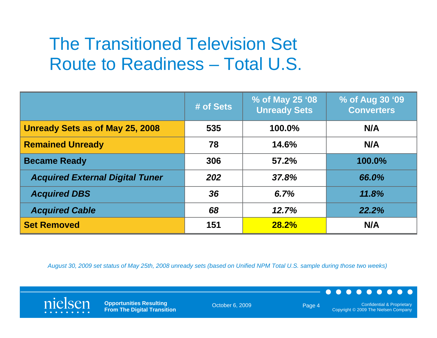#### The Transitioned Television Set Route to Readiness – Total U.S.

|                                        | # of Sets | % of May 25 '08<br><b>Unready Sets</b> | % of Aug 30 '09<br><b>Converters</b> |
|----------------------------------------|-----------|----------------------------------------|--------------------------------------|
| Unready Sets as of May 25, 2008        | 535       | 100.0%                                 | N/A                                  |
| <b>Remained Unready</b>                | 78        | 14.6%                                  | N/A                                  |
| <b>Became Ready</b>                    | 306       | 57.2%                                  | 100.0%                               |
| <b>Acquired External Digital Tuner</b> | 202       | 37.8%                                  | 66.0%                                |
| <b>Acquired DBS</b>                    | 36        | 6.7%                                   | 11.8%                                |
| <b>Acquired Cable</b>                  | 68        | 12.7%                                  | 22.2%                                |
| <b>Set Removed</b>                     | 151       | 28.2%                                  | N/A                                  |

*August 30, 2009 set status of May 25th, 2008 unready sets (based on Unified NPM Total U.S. sample during those two weeks)*



**Opportunities Resulting From The Digital Transition**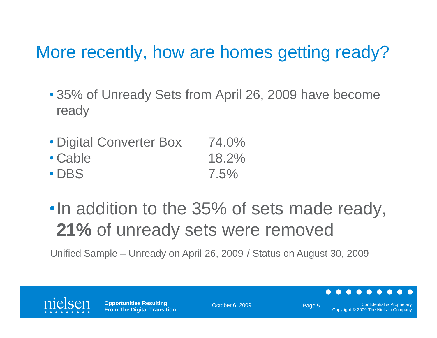## More recently, how are homes getting ready?

- 35% of Unready Sets from April 26, 2009 have become ready
- Di gital Converter Box 74.0%
- Cable 18.2%
- DBS 7.5%
- •In addition to the 35% of sets made ready, **21%** of unready sets were removed

Unified Sample – Unready on April 26, 2009 / Status on August 30, 2009

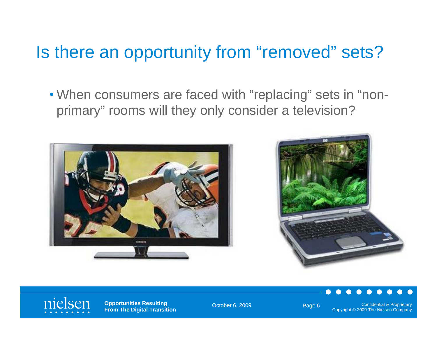#### Is there an opportunity from "removed" sets?

• When consumers are faced with "replacing" sets in "nonprimary" rooms will they only consider a television?







**Opportunities Resulting From The Digital Transition** 

October 6, 2009 Confidential & Proprietary Confidential & Proprietary Copyright © 2009 The Nielsen Company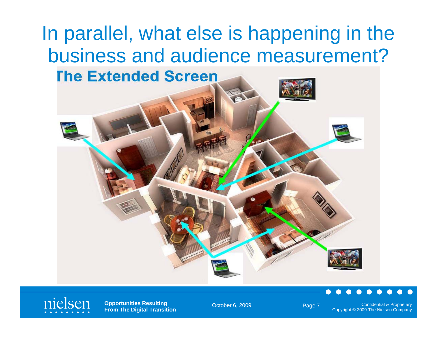



**Opportunities Resulting From The Digital Transition**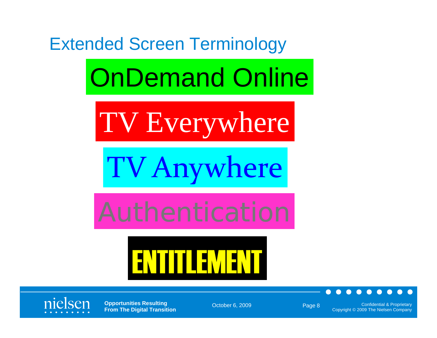





**Opportunities Resulting From The Digital Transition**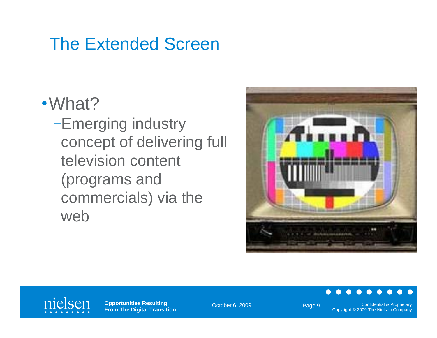## The Extended Screen

#### •What?

–Emerging industry concept of delivering full television content (programs and commercials) via the web



#### nielsen

**Opportunities Resulting From The Digital Transition**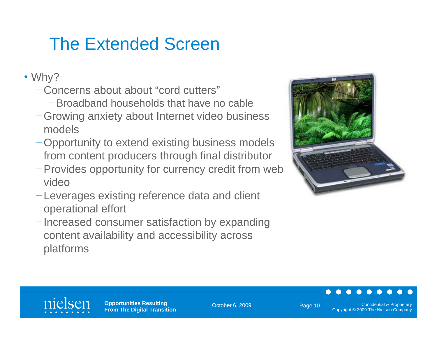# The Extended Screen

- Why?
	- Concerns about about "cord cutters"
		- Broadband households that have no cable
	- Growing anxiety about Internet video business models
	- -Opportunity to extend existing business models from content producers through final distributor
	- Provides opportunity for currency credit from web video
	- Leverages existing reference data and client operational effort
	- Increased consumer satisfaction by expanding content availability and accessibility across platforms





**Opportunities Resulting From The Digital Transition** 

October 6, 2009 **Confidential & Proprietary** Page 10 **Confidential & Proprietary** Copyright © 2009 The Nielsen Company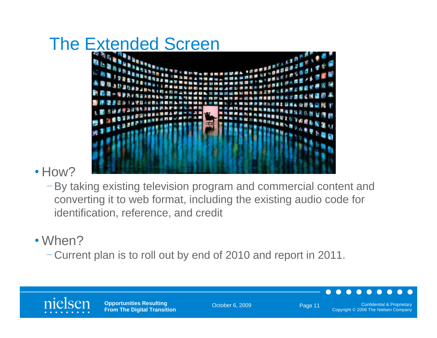

#### • How?

 $-$  By taking existing television program and commercial content and converting it to web format, including the existing audio code for identification, reference, and credit

#### • When?

– Current plan is to roll out by end of 2010 and report in 2011.

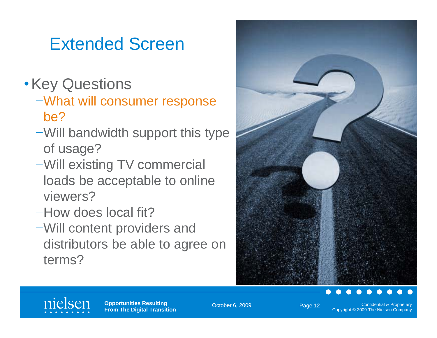# Extended Screen

- •Key Questions
	- –What will consumer response be?
	- –Will bandwidth support this type of usage?
	- –Will existing TV commercial loads be acceptable to online viewers?
	- –How does local fit?
	- –Will content providers and distributors be able to agree on terms?





**Opportunities Resulting From The Digital Transition** 

October 6, 2009 **Confidential & Proprietary Confidential & Proprietary** Copyright © 2009 The Nielsen Company